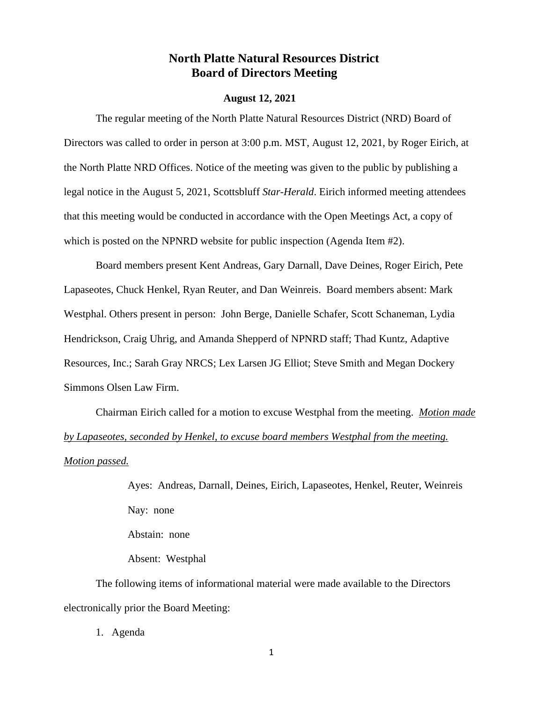# **North Platte Natural Resources District Board of Directors Meeting**

#### **August 12, 2021**

The regular meeting of the North Platte Natural Resources District (NRD) Board of Directors was called to order in person at 3:00 p.m. MST, August 12, 2021, by Roger Eirich, at the North Platte NRD Offices. Notice of the meeting was given to the public by publishing a legal notice in the August 5, 2021, Scottsbluff *Star-Herald*. Eirich informed meeting attendees that this meeting would be conducted in accordance with the Open Meetings Act, a copy of which is posted on the NPNRD website for public inspection (Agenda Item #2).

Board members present Kent Andreas, Gary Darnall, Dave Deines, Roger Eirich, Pete Lapaseotes, Chuck Henkel, Ryan Reuter, and Dan Weinreis. Board members absent: Mark Westphal. Others present in person: John Berge, Danielle Schafer, Scott Schaneman, Lydia Hendrickson, Craig Uhrig, and Amanda Shepperd of NPNRD staff; Thad Kuntz, Adaptive Resources, Inc.; Sarah Gray NRCS; Lex Larsen JG Elliot; Steve Smith and Megan Dockery Simmons Olsen Law Firm.

Chairman Eirich called for a motion to excuse Westphal from the meeting. *Motion made by Lapaseotes, seconded by Henkel, to excuse board members Westphal from the meeting. Motion passed.*

> Ayes: Andreas, Darnall, Deines, Eirich, Lapaseotes, Henkel, Reuter, Weinreis Nay: none Abstain: none Absent: Westphal

The following items of informational material were made available to the Directors electronically prior the Board Meeting:

1. Agenda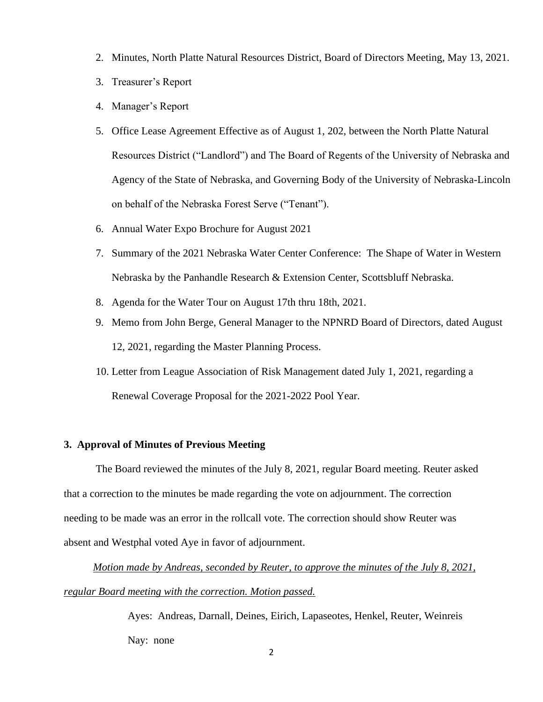- 2. Minutes, North Platte Natural Resources District, Board of Directors Meeting, May 13, 2021.
- 3. Treasurer's Report
- 4. Manager's Report
- 5. Office Lease Agreement Effective as of August 1, 202, between the North Platte Natural Resources District ("Landlord") and The Board of Regents of the University of Nebraska and Agency of the State of Nebraska, and Governing Body of the University of Nebraska-Lincoln on behalf of the Nebraska Forest Serve ("Tenant").
- 6. Annual Water Expo Brochure for August 2021
- 7. Summary of the 2021 Nebraska Water Center Conference: The Shape of Water in Western Nebraska by the Panhandle Research & Extension Center, Scottsbluff Nebraska.
- 8. Agenda for the Water Tour on August 17th thru 18th, 2021.
- 9. Memo from John Berge, General Manager to the NPNRD Board of Directors, dated August 12, 2021, regarding the Master Planning Process.
- 10. Letter from League Association of Risk Management dated July 1, 2021, regarding a Renewal Coverage Proposal for the 2021-2022 Pool Year.

### **3. Approval of Minutes of Previous Meeting**

 The Board reviewed the minutes of the July 8, 2021, regular Board meeting. Reuter asked that a correction to the minutes be made regarding the vote on adjournment. The correction needing to be made was an error in the rollcall vote. The correction should show Reuter was absent and Westphal voted Aye in favor of adjournment.

 *Motion made by Andreas, seconded by Reuter, to approve the minutes of the July 8, 2021, regular Board meeting with the correction. Motion passed.*

> Ayes: Andreas, Darnall, Deines, Eirich, Lapaseotes, Henkel, Reuter, Weinreis Nay: none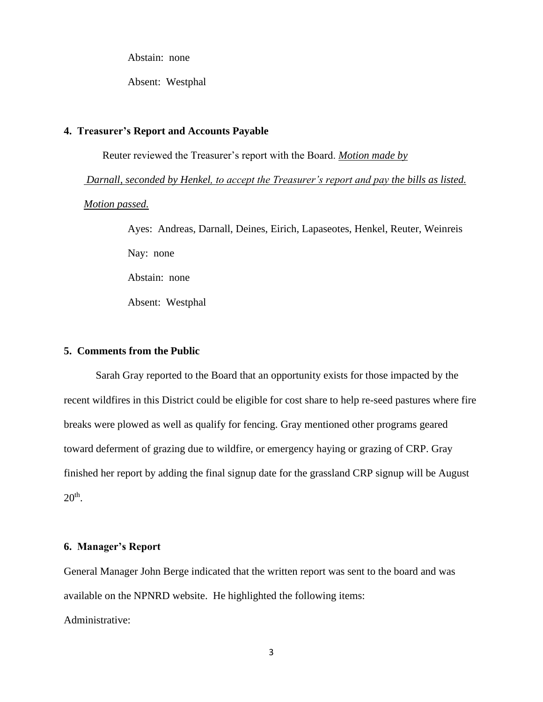Abstain: none

Absent: Westphal

### **4. Treasurer's Report and Accounts Payable**

Reuter reviewed the Treasurer's report with the Board. *Motion made by* 

*Darnall, seconded by Henkel, to accept the Treasurer's report and pay the bills as listed. Motion passed.*

> Ayes: Andreas, Darnall, Deines, Eirich, Lapaseotes, Henkel, Reuter, Weinreis Nay: none Abstain: none Absent: Westphal

### **5. Comments from the Public**

Sarah Gray reported to the Board that an opportunity exists for those impacted by the recent wildfires in this District could be eligible for cost share to help re-seed pastures where fire breaks were plowed as well as qualify for fencing. Gray mentioned other programs geared toward deferment of grazing due to wildfire, or emergency haying or grazing of CRP. Gray finished her report by adding the final signup date for the grassland CRP signup will be August  $20<sup>th</sup>$ .

### **6. Manager's Report**

General Manager John Berge indicated that the written report was sent to the board and was available on the NPNRD website. He highlighted the following items: Administrative: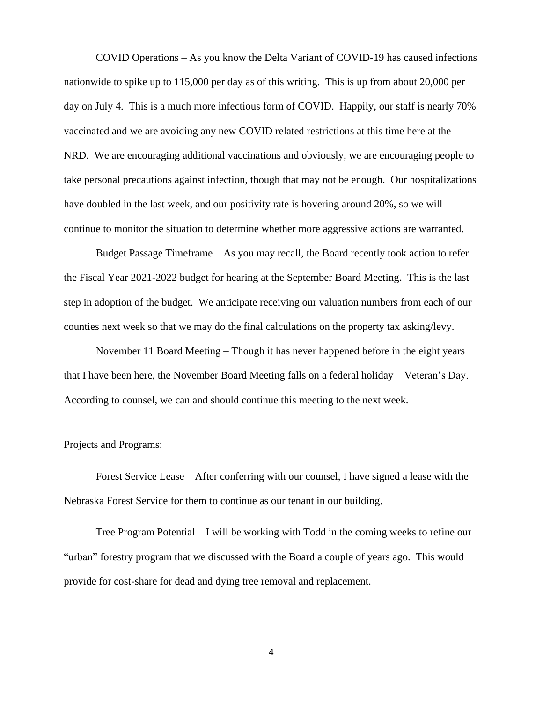COVID Operations – As you know the Delta Variant of COVID-19 has caused infections nationwide to spike up to 115,000 per day as of this writing. This is up from about 20,000 per day on July 4. This is a much more infectious form of COVID. Happily, our staff is nearly 70% vaccinated and we are avoiding any new COVID related restrictions at this time here at the NRD. We are encouraging additional vaccinations and obviously, we are encouraging people to take personal precautions against infection, though that may not be enough. Our hospitalizations have doubled in the last week, and our positivity rate is hovering around 20%, so we will continue to monitor the situation to determine whether more aggressive actions are warranted.

Budget Passage Timeframe – As you may recall, the Board recently took action to refer the Fiscal Year 2021-2022 budget for hearing at the September Board Meeting. This is the last step in adoption of the budget. We anticipate receiving our valuation numbers from each of our counties next week so that we may do the final calculations on the property tax asking/levy.

November 11 Board Meeting – Though it has never happened before in the eight years that I have been here, the November Board Meeting falls on a federal holiday – Veteran's Day. According to counsel, we can and should continue this meeting to the next week.

Projects and Programs:

Forest Service Lease – After conferring with our counsel, I have signed a lease with the Nebraska Forest Service for them to continue as our tenant in our building.

Tree Program Potential – I will be working with Todd in the coming weeks to refine our "urban" forestry program that we discussed with the Board a couple of years ago. This would provide for cost-share for dead and dying tree removal and replacement.

4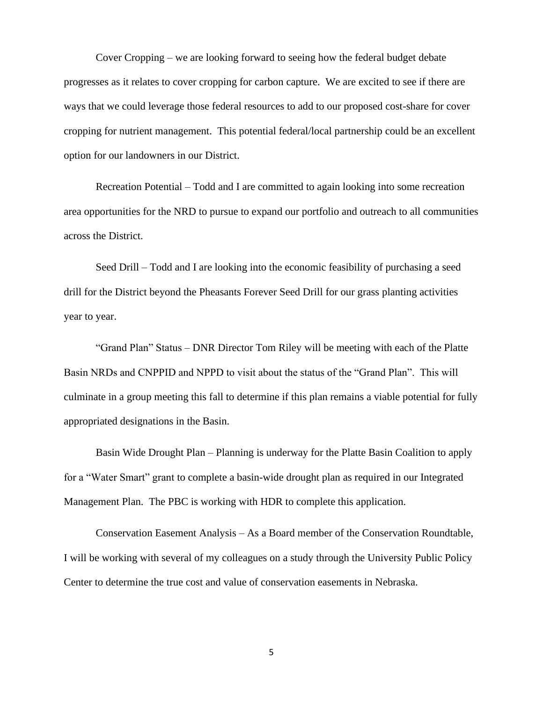Cover Cropping – we are looking forward to seeing how the federal budget debate progresses as it relates to cover cropping for carbon capture. We are excited to see if there are ways that we could leverage those federal resources to add to our proposed cost-share for cover cropping for nutrient management. This potential federal/local partnership could be an excellent option for our landowners in our District.

Recreation Potential – Todd and I are committed to again looking into some recreation area opportunities for the NRD to pursue to expand our portfolio and outreach to all communities across the District.

Seed Drill – Todd and I are looking into the economic feasibility of purchasing a seed drill for the District beyond the Pheasants Forever Seed Drill for our grass planting activities year to year.

"Grand Plan" Status – DNR Director Tom Riley will be meeting with each of the Platte Basin NRDs and CNPPID and NPPD to visit about the status of the "Grand Plan". This will culminate in a group meeting this fall to determine if this plan remains a viable potential for fully appropriated designations in the Basin.

Basin Wide Drought Plan – Planning is underway for the Platte Basin Coalition to apply for a "Water Smart" grant to complete a basin-wide drought plan as required in our Integrated Management Plan. The PBC is working with HDR to complete this application.

Conservation Easement Analysis – As a Board member of the Conservation Roundtable, I will be working with several of my colleagues on a study through the University Public Policy Center to determine the true cost and value of conservation easements in Nebraska.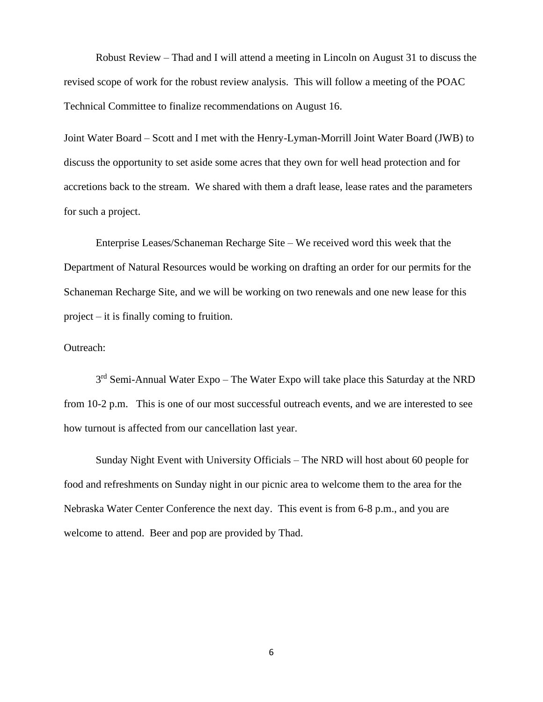Robust Review – Thad and I will attend a meeting in Lincoln on August 31 to discuss the revised scope of work for the robust review analysis. This will follow a meeting of the POAC Technical Committee to finalize recommendations on August 16.

Joint Water Board – Scott and I met with the Henry-Lyman-Morrill Joint Water Board (JWB) to discuss the opportunity to set aside some acres that they own for well head protection and for accretions back to the stream. We shared with them a draft lease, lease rates and the parameters for such a project.

Enterprise Leases/Schaneman Recharge Site – We received word this week that the Department of Natural Resources would be working on drafting an order for our permits for the Schaneman Recharge Site, and we will be working on two renewals and one new lease for this project – it is finally coming to fruition.

### Outreach:

3<sup>rd</sup> Semi-Annual Water Expo – The Water Expo will take place this Saturday at the NRD from 10-2 p.m. This is one of our most successful outreach events, and we are interested to see how turnout is affected from our cancellation last year.

Sunday Night Event with University Officials – The NRD will host about 60 people for food and refreshments on Sunday night in our picnic area to welcome them to the area for the Nebraska Water Center Conference the next day. This event is from 6-8 p.m., and you are welcome to attend. Beer and pop are provided by Thad.

6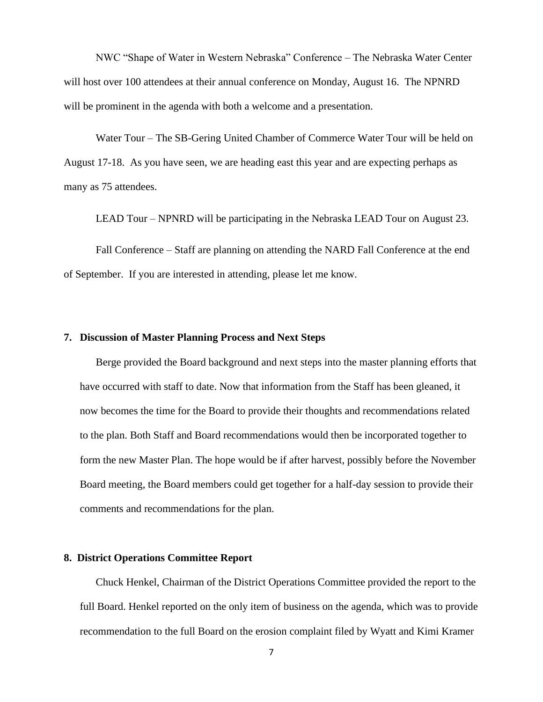NWC "Shape of Water in Western Nebraska" Conference – The Nebraska Water Center will host over 100 attendees at their annual conference on Monday, August 16. The NPNRD will be prominent in the agenda with both a welcome and a presentation.

Water Tour – The SB-Gering United Chamber of Commerce Water Tour will be held on August 17-18. As you have seen, we are heading east this year and are expecting perhaps as many as 75 attendees.

LEAD Tour – NPNRD will be participating in the Nebraska LEAD Tour on August 23.

Fall Conference – Staff are planning on attending the NARD Fall Conference at the end of September. If you are interested in attending, please let me know.

#### **7. Discussion of Master Planning Process and Next Steps**

Berge provided the Board background and next steps into the master planning efforts that have occurred with staff to date. Now that information from the Staff has been gleaned, it now becomes the time for the Board to provide their thoughts and recommendations related to the plan. Both Staff and Board recommendations would then be incorporated together to form the new Master Plan. The hope would be if after harvest, possibly before the November Board meeting, the Board members could get together for a half-day session to provide their comments and recommendations for the plan.

### **8. District Operations Committee Report**

Chuck Henkel, Chairman of the District Operations Committee provided the report to the full Board. Henkel reported on the only item of business on the agenda, which was to provide recommendation to the full Board on the erosion complaint filed by Wyatt and Kimi Kramer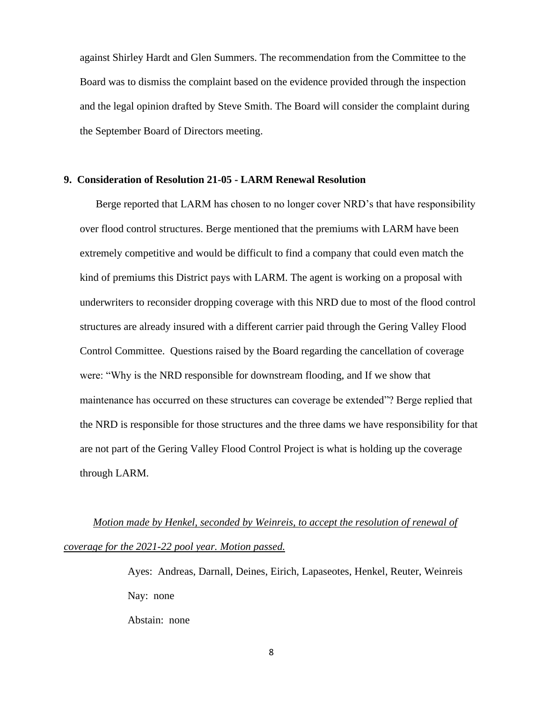against Shirley Hardt and Glen Summers. The recommendation from the Committee to the Board was to dismiss the complaint based on the evidence provided through the inspection and the legal opinion drafted by Steve Smith. The Board will consider the complaint during the September Board of Directors meeting.

#### **9. Consideration of Resolution 21-05 - LARM Renewal Resolution**

Berge reported that LARM has chosen to no longer cover NRD's that have responsibility over flood control structures. Berge mentioned that the premiums with LARM have been extremely competitive and would be difficult to find a company that could even match the kind of premiums this District pays with LARM. The agent is working on a proposal with underwriters to reconsider dropping coverage with this NRD due to most of the flood control structures are already insured with a different carrier paid through the Gering Valley Flood Control Committee. Questions raised by the Board regarding the cancellation of coverage were: "Why is the NRD responsible for downstream flooding, and If we show that maintenance has occurred on these structures can coverage be extended"? Berge replied that the NRD is responsible for those structures and the three dams we have responsibility for that are not part of the Gering Valley Flood Control Project is what is holding up the coverage through LARM.

 *Motion made by Henkel, seconded by Weinreis, to accept the resolution of renewal of coverage for the 2021-22 pool year. Motion passed.*

> Ayes: Andreas, Darnall, Deines, Eirich, Lapaseotes, Henkel, Reuter, Weinreis Nay: none Abstain: none